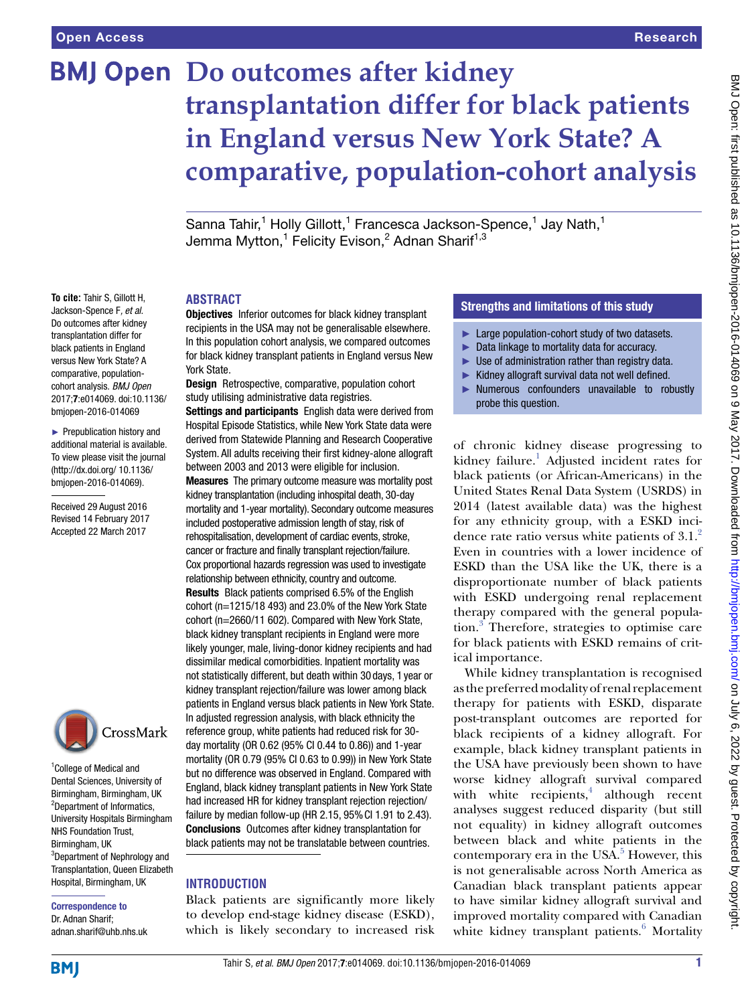# **BMJ Open Do outcomes after kidney transplantation differ for black patients in England versus New York State? A comparative, population-cohort analysis**

Sanna Tahir,<sup>1</sup> Holly Gillott,<sup>1</sup> Francesca Jackson-Spence,<sup>1</sup> Jay Nath,<sup>1</sup> Jemma Mytton,<sup>1</sup> Felicity Evison,<sup>2</sup> Adnan Sharif<sup>1,3</sup>

#### **ABSTRACT**

Objectives Inferior outcomes for black kidney transplant recipients in the USA may not be generalisable elsewhere. In this population cohort analysis, we compared outcomes for black kidney transplant patients in England versus New York State.

Design Retrospective, comparative, population cohort study utilising administrative data registries.

Settings and participants English data were derived from Hospital Episode Statistics, while New York State data were derived from Statewide Planning and Research Cooperative System. All adults receiving their first kidney-alone allograft between 2003 and 2013 were eligible for inclusion. Measures The primary outcome measure was mortality post kidney transplantation (including inhospital death, 30-day mortality and 1-year mortality). Secondary outcome measures included postoperative admission length of stay, risk of rehospitalisation, development of cardiac events, stroke, cancer or fracture and finally transplant rejection/failure. Cox proportional hazards regression was used to investigate relationship between ethnicity, country and outcome. Results Black patients comprised 6.5% of the English cohort (n=1215/18 493) and 23.0% of the New York State cohort (n=2660/11 602). Compared with New York State, black kidney transplant recipients in England were more likely younger, male, living-donor kidney recipients and had dissimilar medical comorbidities. Inpatient mortality was not statistically different, but death within 30days, 1year or kidney transplant rejection/failure was lower among black patients in England versus black patients in New York State. In adjusted regression analysis, with black ethnicity the reference group, white patients had reduced risk for 30 day mortality (OR 0.62 (95% CI 0.44 to 0.86)) and 1-year mortality (OR 0.79 (95% CI 0.63 to 0.99)) in New York State but no difference was observed in England. Compared with England, black kidney transplant patients in New York State had increased HR for kidney transplant rejection rejection/ failure by median follow-up (HR 2.15, 95%CI 1.91 to 2.43). Conclusions Outcomes after kidney transplantation for black patients may not be translatable between countries.

#### **INTRODUCTION**

Black patients are significantly more likely to develop end-stage kidney disease (ESKD), which is likely secondary to increased risk

## Strengths and limitations of this study

- ► Large population-cohort study of two datasets.
- ► Data linkage to mortality data for accuracy.
- $\blacktriangleright$  Use of administration rather than registry data.
- ► Kidney allograft survival data not well defined.
- ► Numerous confounders unavailable to robustly probe this question.

of chronic kidney disease progressing to kidney failure.<sup>1</sup> Adjusted incident rates for black patients (or African-Americans) in the United States Renal Data System (USRDS) in 2014 (latest available data) was the highest for any ethnicity group, with a ESKD incidence rate ratio versus white patients of  $3.1<sup>2</sup>$ Even in countries with a lower incidence of ESKD than the USA like the UK, there is a disproportionate number of black patients with ESKD undergoing renal replacement therapy compared with the general population.[3](#page-7-2) Therefore, strategies to optimise care for black patients with ESKD remains of critical importance.

While kidney transplantation is recognised as the preferred modality of renal replacement therapy for patients with ESKD, disparate post-transplant outcomes are reported for black recipients of a kidney allograft. For example, black kidney transplant patients in the USA have previously been shown to have worse kidney allograft survival compared with white  $recipients$ , although  $recent$ analyses suggest reduced disparity (but still not equality) in kidney allograft outcomes between black and white patients in the contemporary era in the USA. $5$  However, this is not generalisable across North America as Canadian black transplant patients appear to have similar kidney allograft survival and improved mortality compared with Canadian white kidney transplant patients.<sup>[6](#page-7-5)</sup> Mortality

black patients in England versus New York State? A comparative, populationcohort analysis. *BMJ Open* 2017;7:e014069. doi:10.1136/ bmjopen-2016-014069 ► Prepublication history and

**To cite:** Tahir S, Gillott H, Jackson-Spence F*, et al*. Do outcomes after kidney transplantation differ for

additional material is available. To view please visit the journal [\(http://dx.doi.org/ 10.1136/](http://dx.doi.org/ 10.1136/bmjopen-2016-014069) [bmjopen-2016-014069](http://dx.doi.org/ 10.1136/bmjopen-2016-014069)).

Received 29 August 2016 Revised 14 February 2017 Accepted 22 March 2017



<sup>1</sup>College of Medical and Dental Sciences, University of Birmingham, Birmingham, UK <sup>2</sup>Department of Informatics, University Hospitals Birmingham NHS Foundation Trust, Birmingham, UK 3 Department of Nephrology and Transplantation, Queen Elizabeth Hospital, Birmingham, UK

Correspondence to Dr. Adnan Sharif; adnan.sharif@uhb.nhs.uk

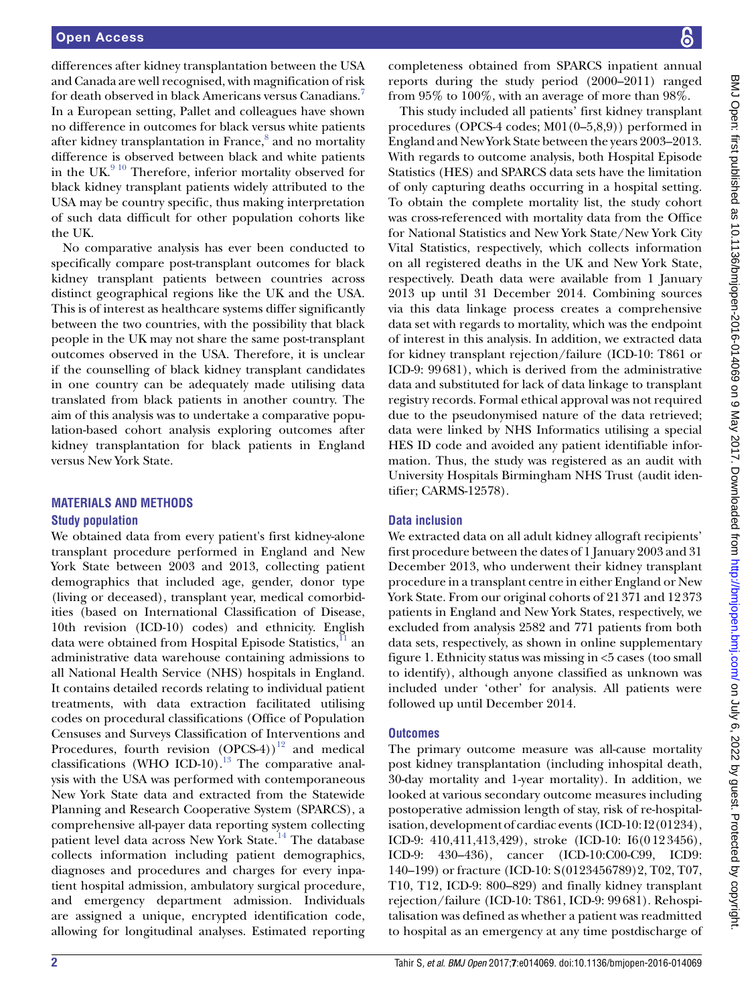differences after kidney transplantation between the USA and Canada are well recognised, with magnification of risk for death observed in black Americans versus Canadians.[7](#page-7-6) In a European setting, Pallet and colleagues have shown no difference in outcomes for black versus white patients after kidney transplantation in France,<sup>[8](#page-7-7)</sup> and no mortality difference is observed between black and white patients in the UK.<sup>9 10</sup> Therefore, inferior mortality observed for black kidney transplant patients widely attributed to the USA may be country specific, thus making interpretation of such data difficult for other population cohorts like the UK.

No comparative analysis has ever been conducted to specifically compare post-transplant outcomes for black kidney transplant patients between countries across distinct geographical regions like the UK and the USA. This is of interest as healthcare systems differ significantly between the two countries, with the possibility that black people in the UK may not share the same post-transplant outcomes observed in the USA. Therefore, it is unclear if the counselling of black kidney transplant candidates in one country can be adequately made utilising data translated from black patients in another country. The aim of this analysis was to undertake a comparative population-based cohort analysis exploring outcomes after kidney transplantation for black patients in England versus New York State.

# **MATERIALS AND METHODS**

# **Study population**

We obtained data from every patient's first kidney-alone transplant procedure performed in England and New York State between 2003 and 2013, collecting patient demographics that included age, gender, donor type (living or deceased), transplant year, medical comorbidities (based on International Classification of Disease, 10th revision (ICD-10) codes) and ethnicity. English data were obtained from Hospital Episode Statistics, II an administrative data warehouse containing admissions to all National Health Service (NHS) hospitals in England. It contains detailed records relating to individual patient treatments, with data extraction facilitated utilising codes on procedural classifications (Office of Population Censuses and Surveys Classification of Interventions and Procedures, fourth revision  $(OPCS-4)^{12}$  and medical classifications (WHO ICD-10).<sup>13</sup> The comparative analysis with the USA was performed with contemporaneous New York State data and extracted from the Statewide Planning and Research Cooperative System (SPARCS), a comprehensive all-payer data reporting system collecting patient level data across New York State.<sup>14</sup> The database collects information including patient demographics, diagnoses and procedures and charges for every inpatient hospital admission, ambulatory surgical procedure, and emergency department admission. Individuals are assigned a unique, encrypted identification code, allowing for longitudinal analyses. Estimated reporting

completeness obtained from SPARCS inpatient annual reports during the study period (2000–2011) ranged from 95% to 100%, with an average of more than 98%.

This study included all patients' first kidney transplant procedures (OPCS-4 codes; M01(0–5,8,9)) performed in England and New York State between the years 2003–2013. With regards to outcome analysis, both Hospital Episode Statistics (HES) and SPARCS data sets have the limitation of only capturing deaths occurring in a hospital setting. To obtain the complete mortality list, the study cohort was cross-referenced with mortality data from the Office for National Statistics and New York State/New York City Vital Statistics, respectively, which collects information on all registered deaths in the UK and New York State, respectively. Death data were available from 1 January 2013 up until 31 December 2014. Combining sources via this data linkage process creates a comprehensive data set with regards to mortality, which was the endpoint of interest in this analysis. In addition, we extracted data for kidney transplant rejection/failure (ICD-10: T861 or ICD-9: 99681), which is derived from the administrative data and substituted for lack of data linkage to transplant registry records. Formal ethical approval was not required due to the pseudonymised nature of the data retrieved; data were linked by NHS Informatics utilising a special HES ID code and avoided any patient identifiable information. Thus, the study was registered as an audit with University Hospitals Birmingham NHS Trust (audit identifier; CARMS-12578).

# **Data inclusion**

We extracted data on all adult kidney allograft recipients' first procedure between the dates of 1 January 2003 and 31 December 2013, who underwent their kidney transplant procedure in a transplant centre in either England or New York State. From our original cohorts of 21371 and 12373 patients in England and New York States, respectively, we excluded from analysis 2582 and 771 patients from both data sets, respectively, as shown in online supplementary figure 1. Ethnicity status was missing in <5 cases (too small to identify), although anyone classified as unknown was included under 'other' for analysis. All patients were followed up until December 2014.

# **Outcomes**

The primary outcome measure was all-cause mortality post kidney transplantation (including inhospital death, 30-day mortality and 1-year mortality). In addition, we looked at various secondary outcome measures including postoperative admission length of stay, risk of re-hospitalisation, development of cardiac events (ICD-10: I2(01234), ICD-9: 410,411,413,429), stroke (ICD-10: I6(0123456), ICD-9: 430–436), cancer (ICD-10:C00-C99, ICD9: 140–199) or fracture (ICD-10: S(0123456789)2, T02, T07, T10, T12, ICD-9: 800–829) and finally kidney transplant rejection/failure (ICD-10: T861, ICD-9: 99681). Rehospitalisation was defined as whether a patient was readmitted to hospital as an emergency at any time postdischarge of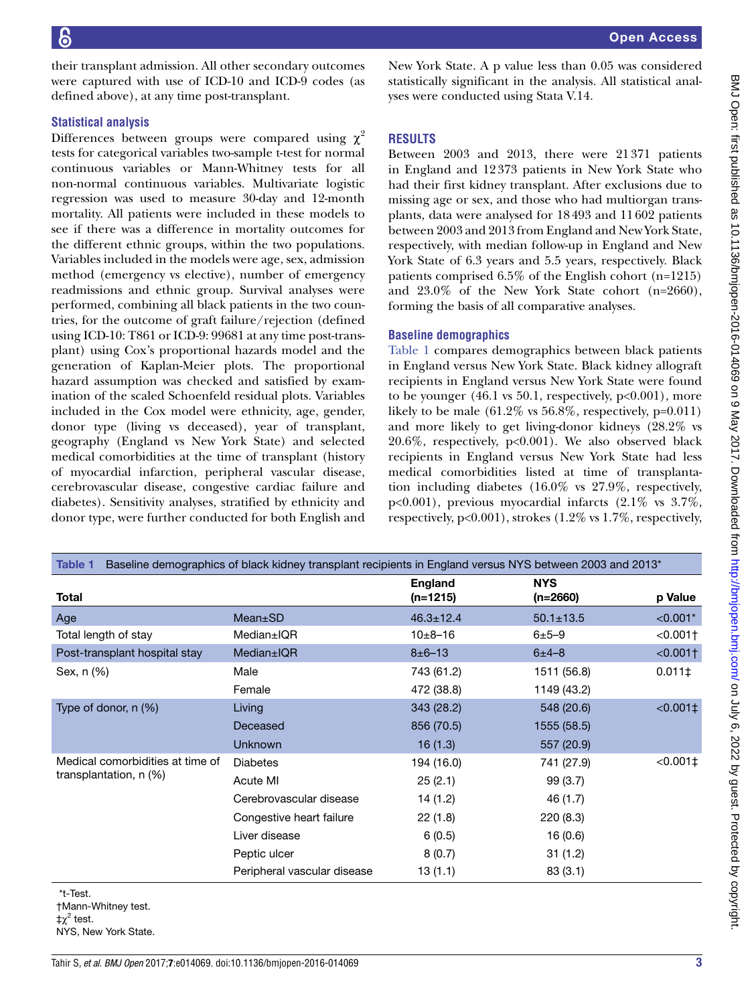Open Access

BMJ Open: first published as 10.11136/bmijopen-2016-014069 on 9 May 2017. Downloaded from http://bmjopen.bmj.com/ on July 6, 2022 by guest. Protected by copyright

BMJ Open: first published as 10.1136/bmjopen-2016-014069 on 9 May 2017. Downloaded from <http://bmjopen.bmj.com/> on July 6, 2022 by guest. Protected by copyright.

their transplant admission. All other secondary outcomes were captured with use of ICD-10 and ICD-9 codes (as defined above), at any time post-transplant.

### **Statistical analysis**

Differences between groups were compared using  $\chi^2$ tests for categorical variables two-sample t-test for normal continuous variables or Mann-Whitney tests for all non-normal continuous variables. Multivariate logistic regression was used to measure 30-day and 12-month mortality. All patients were included in these models to see if there was a difference in mortality outcomes for the different ethnic groups, within the two populations. Variables included in the models were age, sex, admission method (emergency vs elective), number of emergency readmissions and ethnic group. Survival analyses were performed, combining all black patients in the two countries, for the outcome of graft failure/rejection (defined using ICD-10: T861 or ICD-9: 99681 at any time post-transplant) using Cox's proportional hazards model and the generation of Kaplan-Meier plots. The proportional hazard assumption was checked and satisfied by examination of the scaled Schoenfeld residual plots. Variables included in the Cox model were ethnicity, age, gender, donor type (living vs deceased), year of transplant, geography (England vs New York State) and selected medical comorbidities at the time of transplant (history of myocardial infarction, peripheral vascular disease, cerebrovascular disease, congestive cardiac failure and diabetes). Sensitivity analyses, stratified by ethnicity and donor type, were further conducted for both English and

New York State. A p value less than 0.05 was considered statistically significant in the analysis. All statistical analyses were conducted using Stata V.14.

## **RESULTS**

Between 2003 and 2013, there were 21371 patients in England and 12373 patients in New York State who had their first kidney transplant. After exclusions due to missing age or sex, and those who had multiorgan transplants, data were analysed for 18493 and 11602 patients between 2003 and 2013 from England and New York State, respectively, with median follow-up in England and New York State of 6.3 years and 5.5 years, respectively. Black patients comprised 6.5% of the English cohort (n=1215) and 23.0% of the New York State cohort (n=2660), forming the basis of all comparative analyses.

## **Baseline demographics**

[Table](#page-2-0) 1 compares demographics between black patients in England versus New York State. Black kidney allograft recipients in England versus New York State were found to be younger  $(46.1 \text{ vs } 50.1, \text{ respectively, } p<0.001)$ , more likely to be male  $(61.2\% \text{ vs } 56.8\%, \text{ respectively, } p=0.011)$ and more likely to get living-donor kidneys (28.2% vs 20.6%, respectively, p<0.001). We also observed black recipients in England versus New York State had less medical comorbidities listed at time of transplantation including diabetes (16.0% vs 27.9%, respectively, p<0.001), previous myocardial infarcts (2.1% vs 3.7%, respectively, p<0.001), strokes (1.2% vs 1.7%, respectively,

<span id="page-2-0"></span>

| Baseline demographics of black kidney transplant recipients in England versus NYS between 2003 and 2013 <sup>*</sup><br>Table 1 |                             |                            |                          |                        |  |
|---------------------------------------------------------------------------------------------------------------------------------|-----------------------------|----------------------------|--------------------------|------------------------|--|
| Total                                                                                                                           |                             | <b>England</b><br>(n=1215) | <b>NYS</b><br>$(n=2660)$ | p Value                |  |
| Age                                                                                                                             | Mean±SD                     | $46.3 \pm 12.4$            | $50.1 \pm 13.5$          | $< 0.001*$             |  |
| Total length of stay                                                                                                            | Median±IQR                  | $10+8-16$                  | $6 + 5 - 9$              | $< 0.001$ <sup>+</sup> |  |
| Post-transplant hospital stay                                                                                                   | Median±IQR                  | $8 \pm 6 - 13$             | $6 + 4 - 8$              | < 0.001                |  |
| Sex, n (%)                                                                                                                      | Male                        | 743 (61.2)                 | 1511 (56.8)              | $0.011 \pm$            |  |
|                                                                                                                                 | Female                      | 472 (38.8)                 | 1149 (43.2)              |                        |  |
| Type of donor, n (%)                                                                                                            | Living                      | 343 (28.2)                 | 548 (20.6)               | $< 0.001$ ‡            |  |
|                                                                                                                                 | Deceased                    | 856 (70.5)                 | 1555 (58.5)              |                        |  |
|                                                                                                                                 | <b>Unknown</b>              | 16(1.3)                    | 557 (20.9)               |                        |  |
| Medical comorbidities at time of<br>transplantation, $n$ (%)                                                                    | <b>Diabetes</b>             | 194 (16.0)                 | 741 (27.9)               | $< 0.001 \pm$          |  |
|                                                                                                                                 | Acute MI                    | 25(2.1)                    | 99(3.7)                  |                        |  |
|                                                                                                                                 | Cerebrovascular disease     | 14(1.2)                    | 46 (1.7)                 |                        |  |
|                                                                                                                                 | Congestive heart failure    | 22(1.8)                    | 220(8.3)                 |                        |  |
|                                                                                                                                 | Liver disease               | 6(0.5)                     | 16 (0.6)                 |                        |  |
|                                                                                                                                 | Peptic ulcer                | 8(0.7)                     | 31(1.2)                  |                        |  |
|                                                                                                                                 | Peripheral vascular disease | 13(1.1)                    | 83(3.1)                  |                        |  |

\*t-Test.

†Mann-Whitney test.

 $\ddagger \chi^2$  test.

NYS, New York State.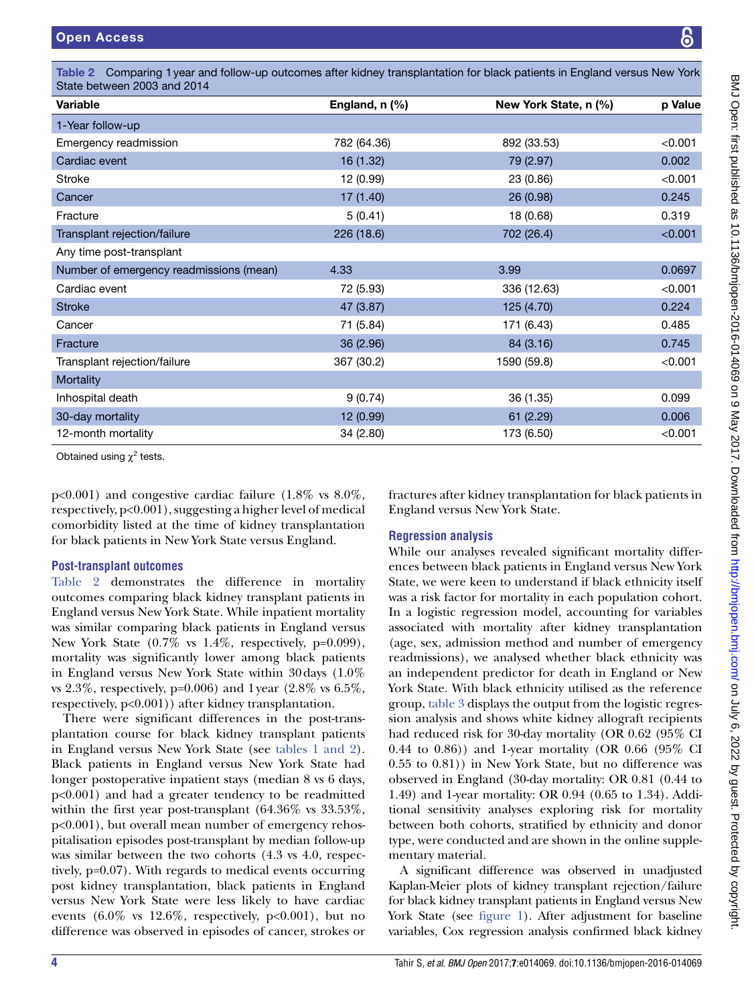BMJ Open: first published as 10.1136/bmijopen-2016-014069 on 9 May 2017. Downloaded from http://bmjopen.bmj.com/ on July 6, 2022 by guest. Protected by copyright BMJ Open: first published as 10.1136/bmjopen-2016-014069 on 9 May 2017. Downloaded from <http://bmjopen.bmj.com/> on July 6, 2022 by guest. Protected by copyright.

<span id="page-3-0"></span>Table 2 Comparing 1year and follow-up outcomes after kidney transplantation for black patients in England versus New York State between 2003 and 2014

| Variable                                | England, $n$ $%$ ) | New York State, n (%) | p Value |
|-----------------------------------------|--------------------|-----------------------|---------|
| 1-Year follow-up                        |                    |                       |         |
| Emergency readmission                   | 782 (64.36)        | 892 (33.53)           | < 0.001 |
| Cardiac event                           | 16 (1.32)          | 79 (2.97)             | 0.002   |
| Stroke                                  | 12 (0.99)          | 23 (0.86)             | < 0.001 |
| Cancer                                  | 17(1.40)           | 26 (0.98)             | 0.245   |
| Fracture                                | 5(0.41)            | 18 (0.68)             | 0.319   |
| Transplant rejection/failure            | 226 (18.6)         | 702 (26.4)            | < 0.001 |
| Any time post-transplant                |                    |                       |         |
| Number of emergency readmissions (mean) | 4.33               | 3.99                  | 0.0697  |
| Cardiac event                           | 72 (5.93)          | 336 (12.63)           | < 0.001 |
| <b>Stroke</b>                           | 47 (3.87)          | 125 (4.70)            | 0.224   |
| Cancer                                  | 71 (5.84)          | 171 (6.43)            | 0.485   |
| Fracture                                | 36 (2.96)          | 84 (3.16)             | 0.745   |
| Transplant rejection/failure            | 367 (30.2)         | 1590 (59.8)           | < 0.001 |
| Mortality                               |                    |                       |         |
| Inhospital death                        | 9(0.74)            | 36 (1.35)             | 0.099   |
| 30-day mortality                        | 12 (0.99)          | 61(2.29)              | 0.006   |
| 12-month mortality                      | 34 (2.80)          | 173 (6.50)            | < 0.001 |

Obtained using  $\chi^2$  tests.

p<0.001) and congestive cardiac failure (1.8% vs 8.0%, respectively, p<0.001), suggesting a higher level of medical comorbidity listed at the time of kidney transplantation for black patients in New York State versus England.

## **Post-transplant outcomes**

[Table](#page-3-0) 2 demonstrates the difference in mortality outcomes comparing black kidney transplant patients in England versus New York State. While inpatient mortality was similar comparing black patients in England versus New York State  $(0.7\%$  vs 1.4%, respectively, p=0.099), mortality was significantly lower among black patients in England versus New York State within 30days (1.0% vs 2.3%, respectively,  $p=0.006$ ) and 1 year (2.8% vs 6.5%, respectively, p<0.001)) after kidney transplantation.

There were significant differences in the post-transplantation course for black kidney transplant patients in England versus New York State (see tables [1 and 2\)](#page-2-0). Black patients in England versus New York State had longer postoperative inpatient stays (median 8 vs 6 days, p<0.001) and had a greater tendency to be readmitted within the first year post-transplant (64.36% vs 33.53%, p<0.001), but overall mean number of emergency rehospitalisation episodes post-transplant by median follow-up was similar between the two cohorts (4.3 vs 4.0, respectively, p=0.07). With regards to medical events occurring post kidney transplantation, black patients in England versus New York State were less likely to have cardiac events  $(6.0\%$  vs  $12.6\%$ , respectively,  $p<0.001$ , but no difference was observed in episodes of cancer, strokes or

fractures after kidney transplantation for black patients in England versus New York State.

# **Regression analysis**

While our analyses revealed significant mortality differences between black patients in England versus New York State, we were keen to understand if black ethnicity itself was a risk factor for mortality in each population cohort. In a logistic regression model, accounting for variables associated with mortality after kidney transplantation (age, sex, admission method and number of emergency readmissions), we analysed whether black ethnicity was an independent predictor for death in England or New York State. With black ethnicity utilised as the reference group, [table](#page-4-0) 3 displays the output from the logistic regression analysis and shows white kidney allograft recipients had reduced risk for 30-day mortality (OR 0.62 (95% CI 0.44 to 0.86)) and 1-year mortality (OR 0.66 (95% CI 0.55 to 0.81)) in New York State, but no difference was observed in England (30-day mortality: OR 0.81 (0.44 to 1.49) and 1-year mortality: OR 0.94 (0.65 to 1.34). Additional sensitivity analyses exploring risk for mortality between both cohorts, stratified by ethnicity and donor type, were conducted and are shown in the online supplementary material.

A significant difference was observed in unadjusted Kaplan-Meier plots of kidney transplant rejection/failure for black kidney transplant patients in England versus New York State (see [figure](#page-4-1) 1). After adjustment for baseline variables, Cox regression analysis confirmed black kidney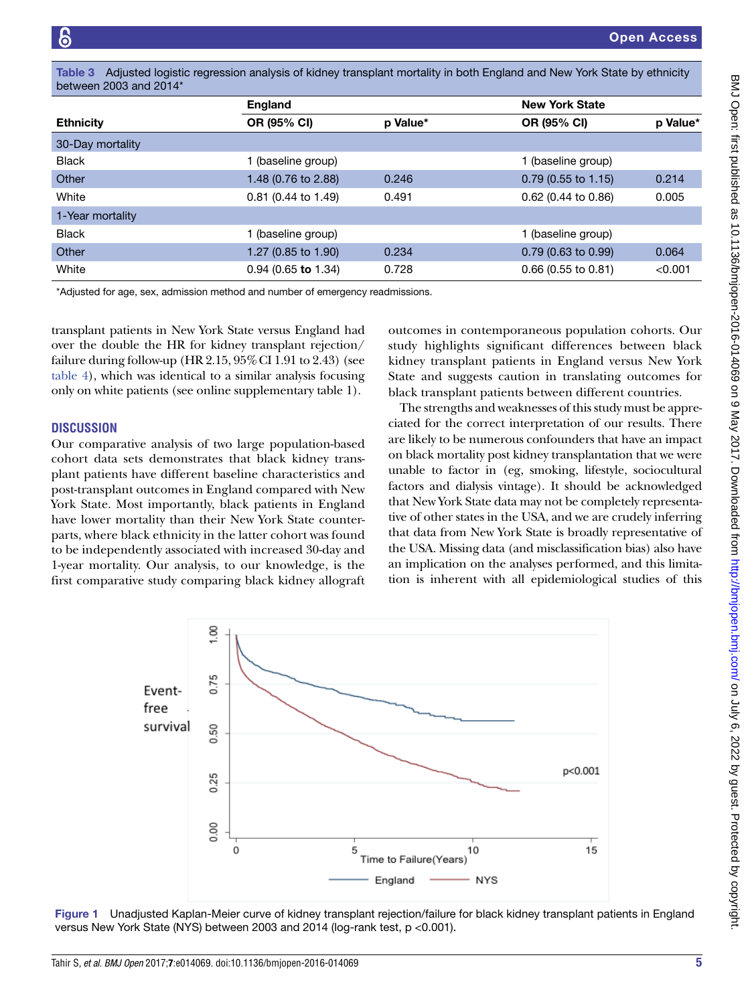<span id="page-4-0"></span>Table 3 Adjusted logistic regression analysis of kidney transplant mortality in both England and New York State by ethnicity between 2003 and 2014\*

|                  | <b>England</b>        |          | <b>New York State</b> |          |
|------------------|-----------------------|----------|-----------------------|----------|
| <b>Ethnicity</b> | OR (95% CI)           | p Value* | <b>OR (95% CI)</b>    | p Value* |
| 30-Day mortality |                       |          |                       |          |
| <b>Black</b>     | 1 (baseline group)    |          | 1 (baseline group)    |          |
| Other            | 1.48 (0.76 to 2.88)   | 0.246    | $0.79$ (0.55 to 1.15) | 0.214    |
| White            | $0.81$ (0.44 to 1.49) | 0.491    | $0.62$ (0.44 to 0.86) | 0.005    |
| 1-Year mortality |                       |          |                       |          |
| <b>Black</b>     | 1 (baseline group)    |          | 1 (baseline group)    |          |
| Other            | 1.27 (0.85 to 1.90)   | 0.234    | $0.79$ (0.63 to 0.99) | 0.064    |
| White            | $0.94$ (0.65 to 1.34) | 0.728    | $0.66$ (0.55 to 0.81) | < 0.001  |

\*Adjusted for age, sex, admission method and number of emergency readmissions.

transplant patients in New York State versus England had over the double the HR for kidney transplant rejection/ failure during follow-up (HR  $2.15,95\%$  CI 1.91 to 2.43) (see [table](#page-5-0) 4), which was identical to a similar analysis focusing only on white patients (see online supplementary table 1).

#### **DISCUSSION**

Our comparative analysis of two large population-based cohort data sets demonstrates that black kidney transplant patients have different baseline characteristics and post-transplant outcomes in England compared with New York State. Most importantly, black patients in England have lower mortality than their New York State counterparts, where black ethnicity in the latter cohort was found to be independently associated with increased 30-day and 1-year mortality. Our analysis, to our knowledge, is the first comparative study comparing black kidney allograft

outcomes in contemporaneous population cohorts. Our study highlights significant differences between black kidney transplant patients in England versus New York State and suggests caution in translating outcomes for black transplant patients between different countries.

The strengths and weaknesses of this study must be appreciated for the correct interpretation of our results. There are likely to be numerous confounders that have an impact on black mortality post kidney transplantation that we were unable to factor in (eg, smoking, lifestyle, sociocultural factors and dialysis vintage). It should be acknowledged that New York State data may not be completely representative of other states in the USA, and we are crudely inferring that data from New York State is broadly representative of the USA. Missing data (and misclassification bias) also have an implication on the analyses performed, and this limitation is inherent with all epidemiological studies of this



<span id="page-4-1"></span>Figure 1 Unadjusted Kaplan-Meier curve of kidney transplant rejection/failure for black kidney transplant patients in England versus New York State (NYS) between 2003 and 2014 (log-rank test, p <0.001).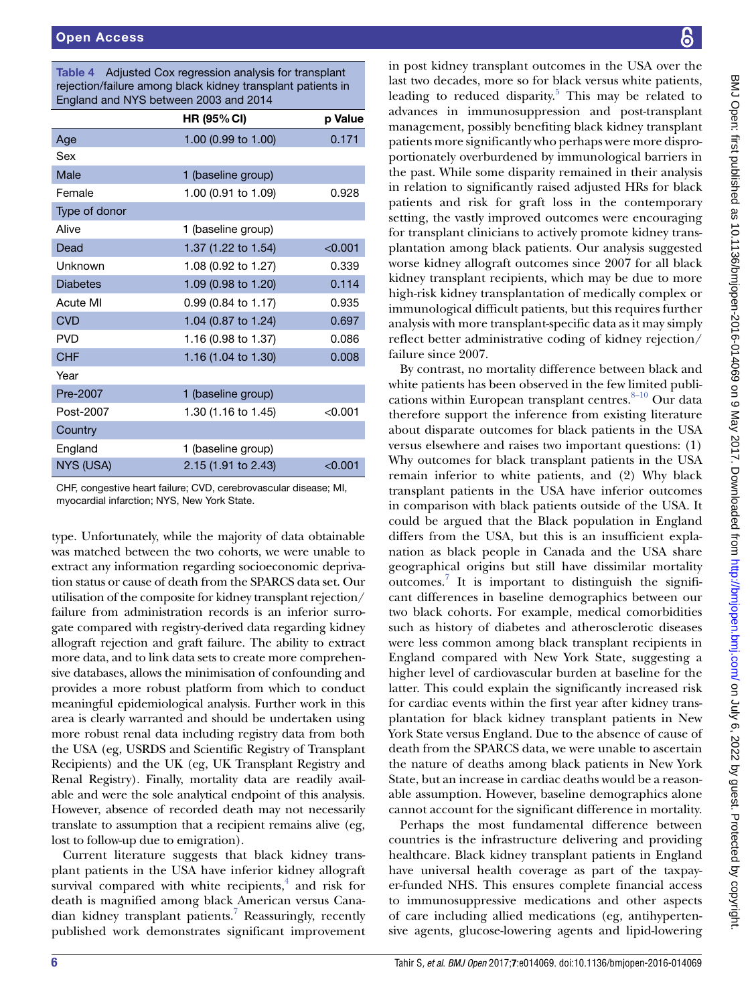<span id="page-5-0"></span>Table 4 Adjusted Cox regression analysis for transplant rejection/failure among black kidney transplant patients in England and NYS between 2003 and 2014

|                  | <b>HR (95% CI)</b>  | p Value   |
|------------------|---------------------|-----------|
| Age              | 1.00 (0.99 to 1.00) | 0.171     |
| Sex              |                     |           |
| Male             | 1 (baseline group)  |           |
| Female           | 1.00 (0.91 to 1.09) | 0.928     |
| Type of donor    |                     |           |
| Alive            | 1 (baseline group)  |           |
| Dead             | 1.37 (1.22 to 1.54) | < 0.001   |
| Unknown          | 1.08 (0.92 to 1.27) | 0.339     |
| <b>Diabetes</b>  | 1.09 (0.98 to 1.20) | 0.114     |
| Acute MI         | 0.99 (0.84 to 1.17) | 0.935     |
| <b>CVD</b>       | 1.04 (0.87 to 1.24) | 0.697     |
| <b>PVD</b>       | 1.16 (0.98 to 1.37) | 0.086     |
| <b>CHF</b>       | 1.16 (1.04 to 1.30) | 0.008     |
| Year             |                     |           |
| Pre-2007         | 1 (baseline group)  |           |
| Post-2007        | 1.30 (1.16 to 1.45) | < 0.001   |
| Country          |                     |           |
| England          | 1 (baseline group)  |           |
| <b>NYS (USA)</b> | 2.15 (1.91 to 2.43) | $<$ 0.001 |

CHF, congestive heart failure; CVD, cerebrovascular disease; MI, myocardial infarction; NYS, New York State.

type. Unfortunately, while the majority of data obtainable was matched between the two cohorts, we were unable to extract any information regarding socioeconomic deprivation status or cause of death from the SPARCS data set. Our utilisation of the composite for kidney transplant rejection/ failure from administration records is an inferior surrogate compared with registry-derived data regarding kidney allograft rejection and graft failure. The ability to extract more data, and to link data sets to create more comprehensive databases, allows the minimisation of confounding and provides a more robust platform from which to conduct meaningful epidemiological analysis. Further work in this area is clearly warranted and should be undertaken using more robust renal data including registry data from both the USA (eg, USRDS and Scientific Registry of Transplant Recipients) and the UK (eg, UK Transplant Registry and Renal Registry). Finally, mortality data are readily available and were the sole analytical endpoint of this analysis. However, absence of recorded death may not necessarily translate to assumption that a recipient remains alive (eg, lost to follow-up due to emigration).

Current literature suggests that black kidney transplant patients in the USA have inferior kidney allograft survival compared with white recipients, $4$  and risk for death is magnified among black American versus Cana-dian kidney transplant patients.<sup>[7](#page-7-6)</sup> Reassuringly, recently published work demonstrates significant improvement

in post kidney transplant outcomes in the USA over the last two decades, more so for black versus white patients, leading to reduced disparity.<sup>[5](#page-7-4)</sup> This may be related to advances in immunosuppression and post-transplant management, possibly benefiting black kidney transplant patients more significantly who perhaps were more disproportionately overburdened by immunological barriers in the past. While some disparity remained in their analysis in relation to significantly raised adjusted HRs for black patients and risk for graft loss in the contemporary setting, the vastly improved outcomes were encouraging for transplant clinicians to actively promote kidney transplantation among black patients. Our analysis suggested worse kidney allograft outcomes since 2007 for all black kidney transplant recipients, which may be due to more high-risk kidney transplantation of medically complex or immunological difficult patients, but this requires further analysis with more transplant-specific data as it may simply reflect better administrative coding of kidney rejection/ failure since 2007.

By contrast, no mortality difference between black and white patients has been observed in the few limited publications within European transplant centres. $8-10$  Our data therefore support the inference from existing literature about disparate outcomes for black patients in the USA versus elsewhere and raises two important questions: (1) Why outcomes for black transplant patients in the USA remain inferior to white patients, and (2) Why black transplant patients in the USA have inferior outcomes in comparison with black patients outside of the USA. It could be argued that the Black population in England differs from the USA, but this is an insufficient explanation as black people in Canada and the USA share geographical origins but still have dissimilar mortality outcomes.<sup>[7](#page-7-6)</sup> It is important to distinguish the significant differences in baseline demographics between our two black cohorts. For example, medical comorbidities such as history of diabetes and atherosclerotic diseases were less common among black transplant recipients in England compared with New York State, suggesting a higher level of cardiovascular burden at baseline for the latter. This could explain the significantly increased risk for cardiac events within the first year after kidney transplantation for black kidney transplant patients in New York State versus England. Due to the absence of cause of death from the SPARCS data, we were unable to ascertain the nature of deaths among black patients in New York State, but an increase in cardiac deaths would be a reasonable assumption. However, baseline demographics alone cannot account for the significant difference in mortality.

Perhaps the most fundamental difference between countries is the infrastructure delivering and providing healthcare. Black kidney transplant patients in England have universal health coverage as part of the taxpayer-funded NHS. This ensures complete financial access to immunosuppressive medications and other aspects of care including allied medications (eg, antihypertensive agents, glucose-lowering agents and lipid-lowering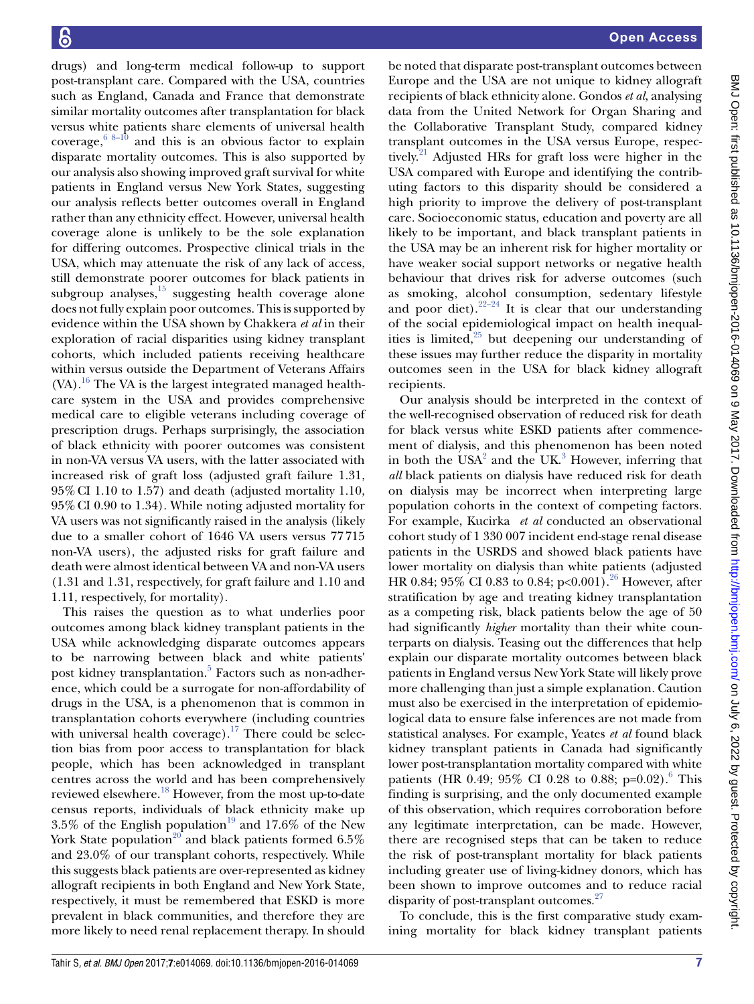drugs) and long-term medical follow-up to support post-transplant care. Compared with the USA, countries such as England, Canada and France that demonstrate similar mortality outcomes after transplantation for black versus white patients share elements of universal health coverage,  $68-10$  and this is an obvious factor to explain disparate mortality outcomes. This is also supported by our analysis also showing improved graft survival for white patients in England versus New York States, suggesting our analysis reflects better outcomes overall in England rather than any ethnicity effect. However, universal health coverage alone is unlikely to be the sole explanation for differing outcomes. Prospective clinical trials in the USA, which may attenuate the risk of any lack of access, still demonstrate poorer outcomes for black patients in subgroup analyses, $15$  suggesting health coverage alone does not fully explain poor outcomes. This is supported by evidence within the USA shown by Chakkera *et al* in their exploration of racial disparities using kidney transplant cohorts, which included patients receiving healthcare within versus outside the Department of Veterans Affairs (VA).<sup>16</sup> The VA is the largest integrated managed healthcare system in the USA and provides comprehensive medical care to eligible veterans including coverage of prescription drugs. Perhaps surprisingly, the association of black ethnicity with poorer outcomes was consistent in non-VA versus VA users, with the latter associated with increased risk of graft loss (adjusted graft failure 1.31, 95%CI 1.10 to 1.57) and death (adjusted mortality 1.10, 95%CI 0.90 to 1.34). While noting adjusted mortality for VA users was not significantly raised in the analysis (likely due to a smaller cohort of 1646 VA users versus 77715 non-VA users), the adjusted risks for graft failure and death were almost identical between VA and non-VA users (1.31 and 1.31, respectively, for graft failure and 1.10 and 1.11, respectively, for mortality).

This raises the question as to what underlies poor outcomes among black kidney transplant patients in the USA while acknowledging disparate outcomes appears to be narrowing between black and white patients' post kidney transplantation.<sup>[5](#page-7-4)</sup> Factors such as non-adherence, which could be a surrogate for non-affordability of drugs in the USA, is a phenomenon that is common in transplantation cohorts everywhere (including countries with universal health coverage).<sup>17</sup> There could be selection bias from poor access to transplantation for black people, which has been acknowledged in transplant centres across the world and has been comprehensively reviewed elsewhere.[18](#page-7-16) However, from the most up-to-date census reports, individuals of black ethnicity make up 3.5% of the English population<sup>19</sup> and 17.6% of the New York State population<sup>20</sup> and black patients formed  $6.5\%$ and 23.0% of our transplant cohorts, respectively. While this suggests black patients are over-represented as kidney allograft recipients in both England and New York State, respectively, it must be remembered that ESKD is more prevalent in black communities, and therefore they are more likely to need renal replacement therapy. In should

be noted that disparate post-transplant outcomes between Europe and the USA are not unique to kidney allograft recipients of black ethnicity alone. Gondos *et al*, analysing data from the United Network for Organ Sharing and the Collaborative Transplant Study, compared kidney transplant outcomes in the USA versus Europe, respectively.<sup>21</sup> Adjusted HRs for graft loss were higher in the USA compared with Europe and identifying the contributing factors to this disparity should be considered a high priority to improve the delivery of post-transplant care. Socioeconomic status, education and poverty are all likely to be important, and black transplant patients in the USA may be an inherent risk for higher mortality or have weaker social support networks or negative health behaviour that drives risk for adverse outcomes (such as smoking, alcohol consumption, sedentary lifestyle and poor diet). $2^{2-24}$  It is clear that our understanding of the social epidemiological impact on health inequalities is limited, $25$  but deepening our understanding of these issues may further reduce the disparity in mortality outcomes seen in the USA for black kidney allograft recipients.

Our analysis should be interpreted in the context of the well-recognised observation of reduced risk for death for black versus white ESKD patients after commencement of dialysis, and this phenomenon has been noted in both the  $USA^2$  and the  $UK^3$  $UK^3$  However, inferring that *all* black patients on dialysis have reduced risk for death on dialysis may be incorrect when interpreting large population cohorts in the context of competing factors. For example, Kucirka *et al* conducted an observational cohort study of 1 330 007 incident end-stage renal disease patients in the USRDS and showed black patients have lower mortality on dialysis than white patients (adjusted HR 0.84; 95% CI 0.83 to 0.84; p<0.001).<sup>26</sup> However, after stratification by age and treating kidney transplantation as a competing risk, black patients below the age of 50 had significantly *higher* mortality than their white counterparts on dialysis. Teasing out the differences that help explain our disparate mortality outcomes between black patients in England versus New York State will likely prove more challenging than just a simple explanation. Caution must also be exercised in the interpretation of epidemiological data to ensure false inferences are not made from statistical analyses. For example, Yeates *et al* found black kidney transplant patients in Canada had significantly lower post-transplantation mortality compared with white patients (HR 0.49; 95% CI 0.28 to 0.88; p=0.02).<sup>6</sup> This finding is surprising, and the only documented example of this observation, which requires corroboration before any legitimate interpretation, can be made. However, there are recognised steps that can be taken to reduce the risk of post-transplant mortality for black patients including greater use of living-kidney donors, which has been shown to improve outcomes and to reduce racial disparity of post-transplant outcomes.<sup>[27](#page-7-23)</sup>

To conclude, this is the first comparative study examining mortality for black kidney transplant patients